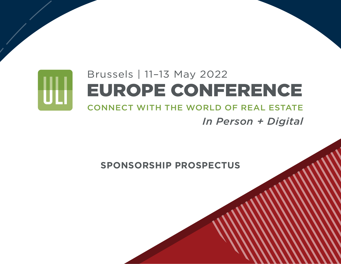# Brussels | 11–13 May 2022 ÜÜ EUROPE CONFERENCE CONNECT WITH THE WORLD OF REAL ESTATE

*In Person + Digital*

**SPONSORSHIP PROSPECTUS**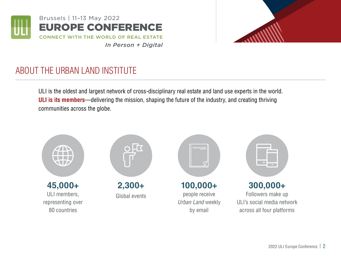

*In Person + Digital*



# ABOUT THE URBAN LAND INSTITUTE

ULI is the oldest and largest network of cross-disciplinary real estate and land use experts in the world. **ULI is its members**—delivering the mission, shaping the future of the industry, and creating thriving communities across the globe.

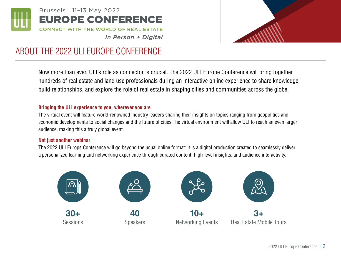

## EUROPE CONFERENCE Brussels | 11–13 May 2022



#### *In Person + Digital* CONNECT WITH THE WORLD OF REAL ESTATE

## ABOUT THE 2022 ULI EUROPE CONFERENCE

Now more than ever, ULI's role as connector is crucial. The 2022 ULI Europe Conference will bring together hundreds of real estate and land use professionals during an interactive online experience to share knowledge, build relationships, and explore the role of real estate in shaping cities and communities across the globe.

#### **Bringing the ULI experience to you, wherever you are**

The virtual event will feature world-renowned industry leaders sharing their insights on topics ranging from geopolitics and economic developments to social changes and the future of cities.The virtual environment will allow ULI to reach an even larger audience, making this a truly global event.

#### **Not just another webinar**

The 2022 ULI Europe Conference will go beyond the usual online format: it is a digital production created to seamlessly deliver a personalized learning and networking experience through curated content, high-level insights, and audience interactivity.

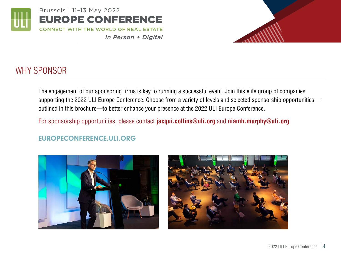

# WHY SPONSOR

The engagement of our sponsoring firms is key to running a successful event. Join this elite group of companies supporting the 2022 ULI Europe Conference. Choose from a variety of levels and selected sponsorship opportunities outlined in this brochure—to better enhance your presence at the 2022 ULI Europe Conference.

For sponsorship opportunities, please contact **jacqui.collins@uli.org** and **niamh.murphy@uli.org** 

*In Person + Digital*

### EUROPECONFERENCE.ULI.ORG